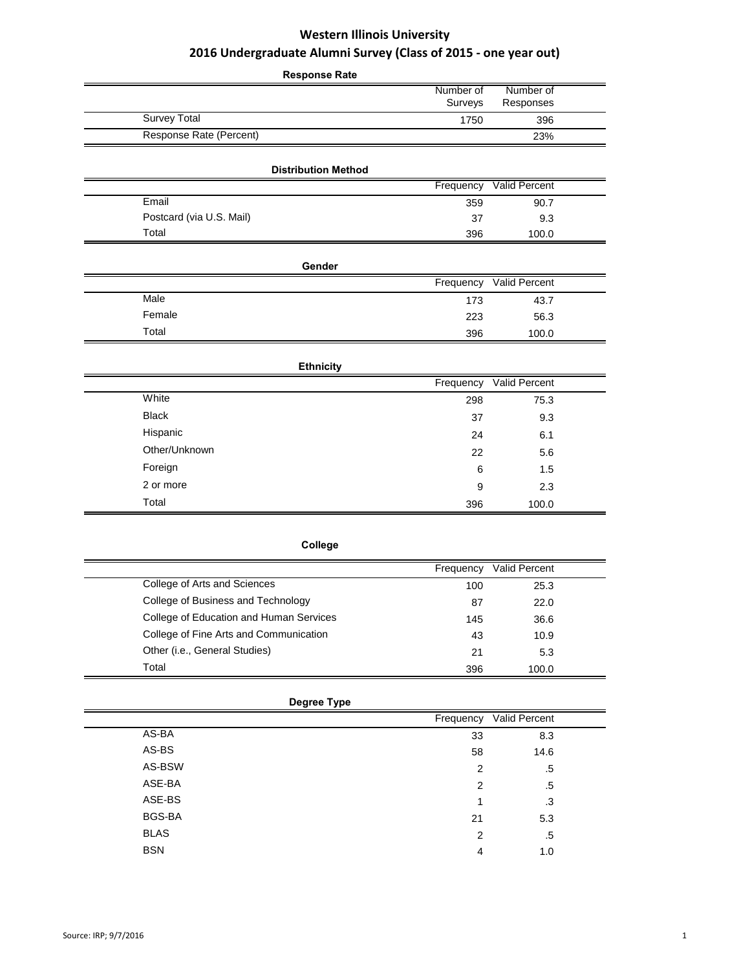| <b>Response Rate</b>       |                      |                        |  |
|----------------------------|----------------------|------------------------|--|
|                            | Number of<br>Surveys | Number of<br>Responses |  |
| <b>Survey Total</b>        | 1750                 | 396                    |  |
| Response Rate (Percent)    |                      | 23%                    |  |
| <b>Distribution Method</b> |                      |                        |  |
|                            | Frequency            | Valid Percent          |  |
| Email                      | 359                  | 90.7                   |  |
| Postcard (via U.S. Mail)   | 37                   | 9.3                    |  |
| Total                      | 396                  | 100.0                  |  |
|                            |                      |                        |  |
| Gender                     |                      |                        |  |
|                            | Frequency            | Valid Percent          |  |
| Male                       | 173                  | 43.7                   |  |
| Female                     | 223                  | 56.3                   |  |
| Total                      | 396                  | 100.0                  |  |
| <b>Ethnicity</b>           |                      |                        |  |
|                            | Frequency            | Valid Percent          |  |
| White                      | 298                  | 75.3                   |  |
| <b>Black</b>               | 37                   | 9.3                    |  |
| Hispanic                   | 24                   | 6.1                    |  |
| Other/Unknown              | 22                   | 5.6                    |  |
| Foreign                    | 6                    | 1.5                    |  |
| 2 or more                  | 9                    | 2.3                    |  |
| Total                      | 396                  | 100.0                  |  |
|                            |                      |                        |  |

|                                         | Frequency | <b>Valid Percent</b> |  |
|-----------------------------------------|-----------|----------------------|--|
| College of Arts and Sciences            | 100       | 25.3                 |  |
| College of Business and Technology      | 87        | 22.0                 |  |
| College of Education and Human Services | 145       | 36.6                 |  |
| College of Fine Arts and Communication  | 43        | 10.9                 |  |
| Other (i.e., General Studies)           | 21        | 5.3                  |  |
| Total                                   | 396       | 100.0                |  |

| Degree Type |                |                         |  |
|-------------|----------------|-------------------------|--|
|             |                | Frequency Valid Percent |  |
| AS-BA       | 33             | 8.3                     |  |
| AS-BS       | 58             | 14.6                    |  |
| AS-BSW      | $\overline{2}$ | .5                      |  |
| ASE-BA      | $\overline{2}$ | .5                      |  |
| ASE-BS      | 1              | .3                      |  |
| BGS-BA      | 21             | 5.3                     |  |
| <b>BLAS</b> | $\overline{2}$ | .5                      |  |
| <b>BSN</b>  | 4              | 1.0                     |  |
|             |                |                         |  |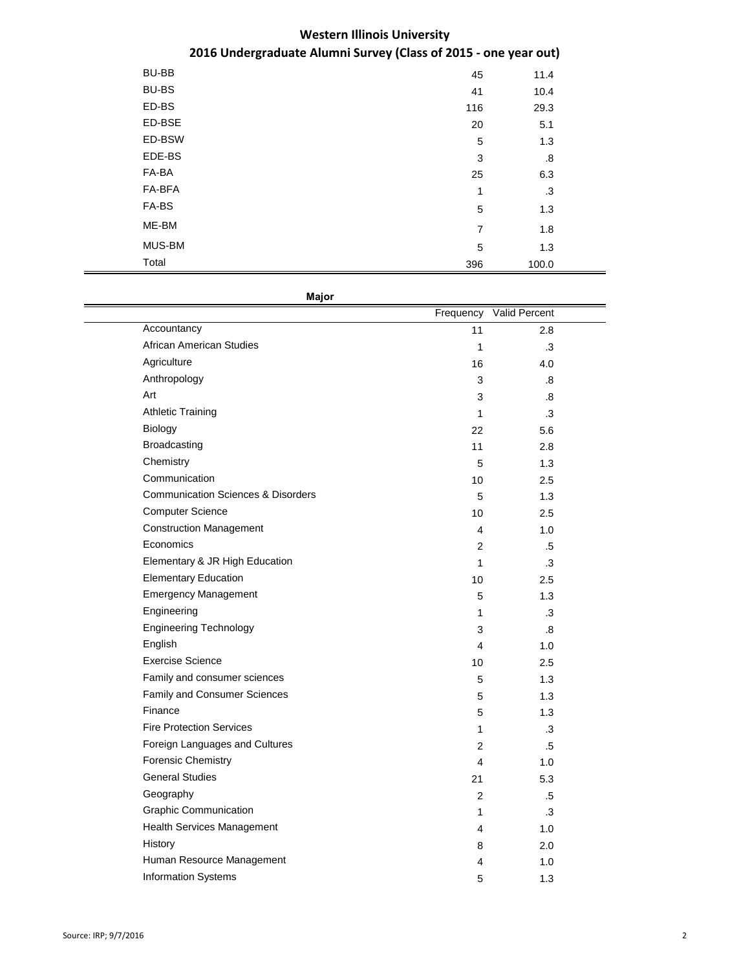| BU-BB        | 45             | 11.4  |  |
|--------------|----------------|-------|--|
| <b>BU-BS</b> | 41             | 10.4  |  |
| ED-BS        | 116            | 29.3  |  |
| ED-BSE       | 20             | 5.1   |  |
| ED-BSW       | 5              | 1.3   |  |
| EDE-BS       | 3              | .8    |  |
| FA-BA        | 25             | 6.3   |  |
| FA-BFA       | 1              | .3    |  |
| FA-BS        | 5              | 1.3   |  |
| ME-BM        | $\overline{7}$ | 1.8   |  |
| MUS-BM       | 5              | 1.3   |  |
| Total        | 396            | 100.0 |  |

**Major**

|                                               | Frequency      | Valid Percent |  |
|-----------------------------------------------|----------------|---------------|--|
| Accountancy                                   | 11             | 2.8           |  |
| <b>African American Studies</b>               | 1              | .3            |  |
| Agriculture                                   | 16             | 4.0           |  |
| Anthropology                                  | 3              | .8            |  |
| Art                                           | 3              | 8.            |  |
| <b>Athletic Training</b>                      | 1              | .3            |  |
| Biology                                       | 22             | 5.6           |  |
| Broadcasting                                  | 11             | 2.8           |  |
| Chemistry                                     | 5              | 1.3           |  |
| Communication                                 | 10             | 2.5           |  |
| <b>Communication Sciences &amp; Disorders</b> | 5              | 1.3           |  |
| <b>Computer Science</b>                       | 10             | 2.5           |  |
| <b>Construction Management</b>                | 4              | 1.0           |  |
| Economics                                     | 2              | .5            |  |
| Elementary & JR High Education                | 1              | .3            |  |
| <b>Elementary Education</b>                   | 10             | 2.5           |  |
| <b>Emergency Management</b>                   | 5              | 1.3           |  |
| Engineering                                   | 1              | .3            |  |
| <b>Engineering Technology</b>                 | 3              | .8            |  |
| English                                       | 4              | 1.0           |  |
| <b>Exercise Science</b>                       | 10             | 2.5           |  |
| Family and consumer sciences                  | 5              | 1.3           |  |
| Family and Consumer Sciences                  | 5              | 1.3           |  |
| Finance                                       | 5              | 1.3           |  |
| <b>Fire Protection Services</b>               | 1              | .3            |  |
| Foreign Languages and Cultures                | $\overline{2}$ | $.5\,$        |  |
| <b>Forensic Chemistry</b>                     | 4              | 1.0           |  |
| <b>General Studies</b>                        | 21             | 5.3           |  |
| Geography                                     | $\overline{2}$ | .5            |  |
| <b>Graphic Communication</b>                  | 1              | $\cdot$ 3     |  |
| <b>Health Services Management</b>             | 4              | 1.0           |  |
| History                                       | 8              | 2.0           |  |
| Human Resource Management                     | 4              | 1.0           |  |
| <b>Information Systems</b>                    | 5              | 1.3           |  |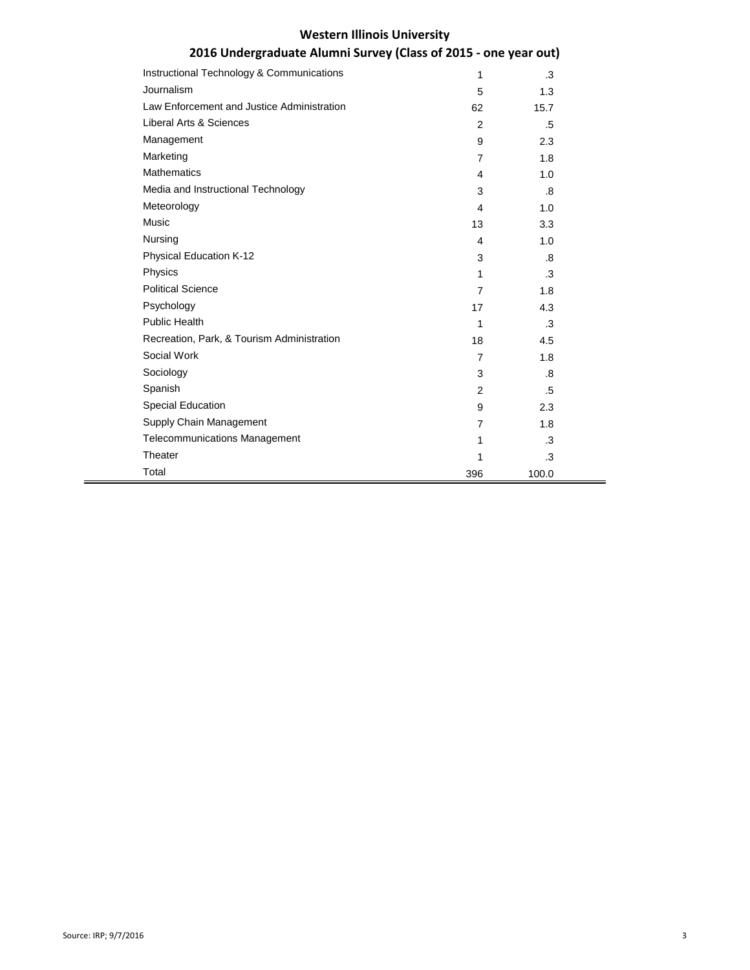| Instructional Technology & Communications  | 1              | .3    |  |
|--------------------------------------------|----------------|-------|--|
| Journalism                                 | 5              | 1.3   |  |
| Law Enforcement and Justice Administration | 62             | 15.7  |  |
| Liberal Arts & Sciences                    | $\overline{2}$ | .5    |  |
| Management                                 | 9              | 2.3   |  |
| Marketing                                  | 7              | 1.8   |  |
| <b>Mathematics</b>                         | 4              | 1.0   |  |
| Media and Instructional Technology         | 3              | .8    |  |
| Meteorology                                | 4              | 1.0   |  |
| Music                                      | 13             | 3.3   |  |
| Nursing                                    | 4              | 1.0   |  |
| <b>Physical Education K-12</b>             | 3              | .8    |  |
| Physics                                    | 1              | .3    |  |
| <b>Political Science</b>                   | 7              | 1.8   |  |
| Psychology                                 | 17             | 4.3   |  |
| <b>Public Health</b>                       | 1              | .3    |  |
| Recreation, Park, & Tourism Administration | 18             | 4.5   |  |
| Social Work                                | $\overline{7}$ | 1.8   |  |
| Sociology                                  | 3              | .8    |  |
| Spanish                                    | $\overline{2}$ | .5    |  |
| Special Education                          | 9              | 2.3   |  |
| Supply Chain Management                    | $\overline{7}$ | 1.8   |  |
| <b>Telecommunications Management</b>       | 1              | .3    |  |
| Theater                                    | 1              | .3    |  |
| Total                                      | 396            | 100.0 |  |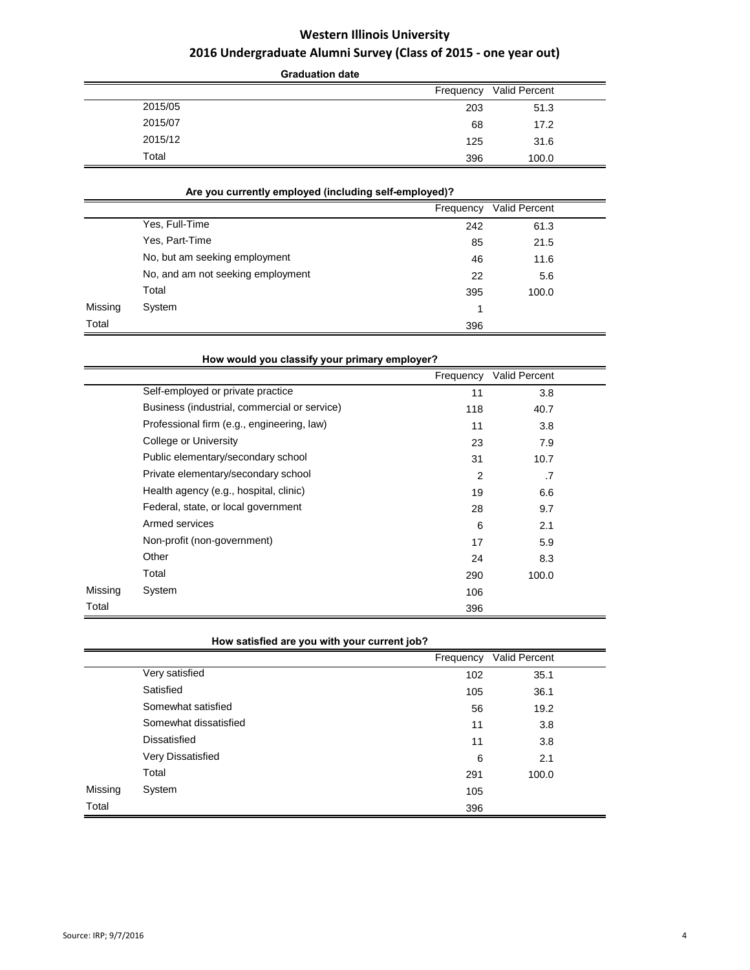|         | <b>Graduation date</b> |               |
|---------|------------------------|---------------|
|         | Frequency              | Valid Percent |
| 2015/05 | 203                    | 51.3          |
| 2015/07 | 68                     | 17.2          |
| 2015/12 | 125                    | 31.6          |
| Total   | 396                    | 100.0         |

## **Are you currently employed (including self-employed)?**

|         |                                   | Frequency | Valid Percent |  |
|---------|-----------------------------------|-----------|---------------|--|
|         | Yes, Full-Time                    | 242       | 61.3          |  |
|         | Yes, Part-Time                    | 85        | 21.5          |  |
|         | No, but am seeking employment     | 46        | 11.6          |  |
|         | No, and am not seeking employment | 22        | 5.6           |  |
|         | Total                             | 395       | 100.0         |  |
| Missing | System                            | 1         |               |  |
| Total   |                                   | 396       |               |  |

|         | How would you classify your primary employer? |                |               |  |
|---------|-----------------------------------------------|----------------|---------------|--|
|         |                                               | Frequency      | Valid Percent |  |
|         | Self-employed or private practice             | 11             | 3.8           |  |
|         | Business (industrial, commercial or service)  | 118            | 40.7          |  |
|         | Professional firm (e.g., engineering, law)    | 11             | 3.8           |  |
|         | College or University                         | 23             | 7.9           |  |
|         | Public elementary/secondary school            | 31             | 10.7          |  |
|         | Private elementary/secondary school           | $\overline{2}$ | .7            |  |
|         | Health agency (e.g., hospital, clinic)        | 19             | 6.6           |  |
|         | Federal, state, or local government           | 28             | 9.7           |  |
|         | Armed services                                | 6              | 2.1           |  |
|         | Non-profit (non-government)                   | 17             | 5.9           |  |
|         | Other                                         | 24             | 8.3           |  |
|         | Total                                         | 290            | 100.0         |  |
| Missing | System                                        | 106            |               |  |
| Total   |                                               | 396            |               |  |

## **How satisfied are you with your current job?**

|         |                       | Frequency | Valid Percent |  |
|---------|-----------------------|-----------|---------------|--|
|         | Very satisfied        | 102       | 35.1          |  |
|         | Satisfied             | 105       | 36.1          |  |
|         | Somewhat satisfied    | 56        | 19.2          |  |
|         | Somewhat dissatisfied | 11        | 3.8           |  |
|         | Dissatisfied          | 11        | 3.8           |  |
|         | Very Dissatisfied     | 6         | 2.1           |  |
|         | Total                 | 291       | 100.0         |  |
| Missing | System                | 105       |               |  |
| Total   |                       | 396       |               |  |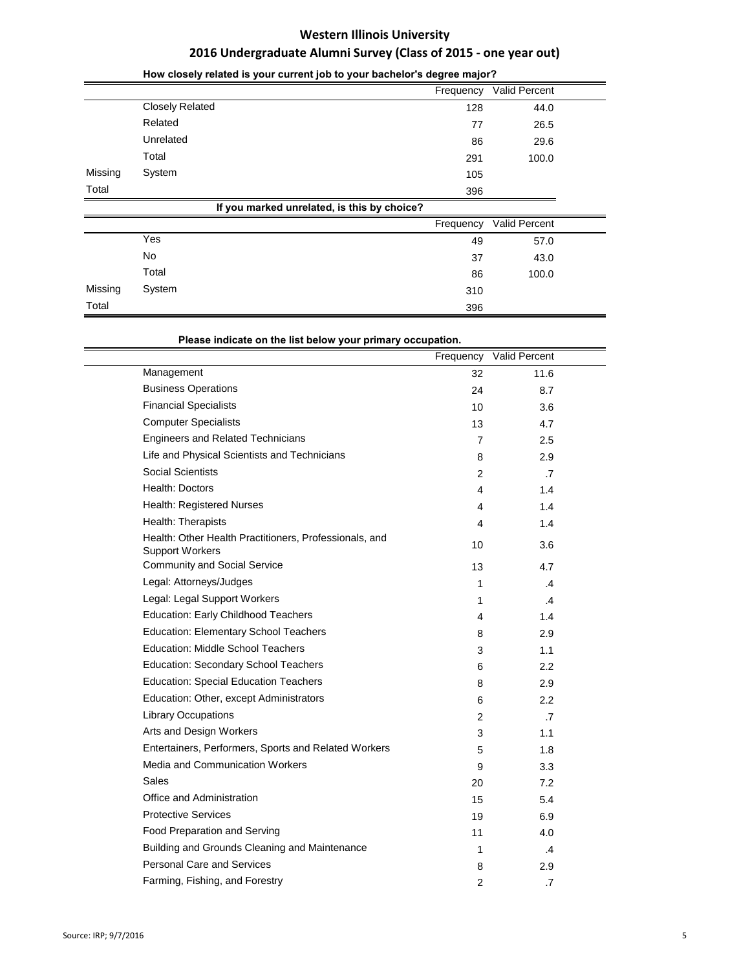|         |                                             | Frequency | Valid Percent |  |
|---------|---------------------------------------------|-----------|---------------|--|
|         | <b>Closely Related</b>                      | 128       | 44.0          |  |
|         | Related                                     | 77        | 26.5          |  |
|         | Unrelated                                   | 86        | 29.6          |  |
|         | Total                                       | 291       | 100.0         |  |
| Missing | System                                      | 105       |               |  |
| Total   |                                             | 396       |               |  |
|         | If you marked unrelated, is this by choice? |           |               |  |
|         |                                             | Frequency | Valid Percent |  |
|         | Yes                                         | 49        | 57.0          |  |
|         | No                                          | 37        | 43.0          |  |
|         | Total                                       | 86        | 100.0         |  |
| Missing | System                                      | 310       |               |  |
| Total   |                                             | 396       |               |  |

## **How closely related is your current job to your bachelor's degree major?**

**Please indicate on the list below your primary occupation.** 

|                                                                                  | Frequency      | Valid Percent |  |
|----------------------------------------------------------------------------------|----------------|---------------|--|
| Management                                                                       | 32             | 11.6          |  |
| <b>Business Operations</b>                                                       | 24             | 8.7           |  |
| <b>Financial Specialists</b>                                                     | 10             | 3.6           |  |
| <b>Computer Specialists</b>                                                      | 13             | 4.7           |  |
| <b>Engineers and Related Technicians</b>                                         | $\overline{7}$ | 2.5           |  |
| Life and Physical Scientists and Technicians                                     | 8              | 2.9           |  |
| Social Scientists                                                                | 2              | $\cdot$ 7     |  |
| Health: Doctors                                                                  | 4              | 1.4           |  |
| Health: Registered Nurses                                                        | 4              | 1.4           |  |
| Health: Therapists                                                               | 4              | 1.4           |  |
| Health: Other Health Practitioners, Professionals, and<br><b>Support Workers</b> | 10             | 3.6           |  |
| <b>Community and Social Service</b>                                              | 13             | 4.7           |  |
| Legal: Attorneys/Judges                                                          | 1              | $\mathcal{A}$ |  |
| Legal: Legal Support Workers                                                     | 1              | $\mathcal{A}$ |  |
| Education: Early Childhood Teachers                                              | 4              | 1.4           |  |
| <b>Education: Elementary School Teachers</b>                                     | 8              | 2.9           |  |
| <b>Education: Middle School Teachers</b>                                         | 3              | 1.1           |  |
| <b>Education: Secondary School Teachers</b>                                      | 6              | 2.2           |  |
| <b>Education: Special Education Teachers</b>                                     | 8              | 2.9           |  |
| Education: Other, except Administrators                                          | 6              | 2.2           |  |
| <b>Library Occupations</b>                                                       | $\overline{2}$ | $\cdot$ 7     |  |
| Arts and Design Workers                                                          | 3              | 1.1           |  |
| Entertainers, Performers, Sports and Related Workers                             | 5              | 1.8           |  |
| Media and Communication Workers                                                  | 9              | 3.3           |  |
| Sales                                                                            | 20             | 7.2           |  |
| Office and Administration                                                        | 15             | 5.4           |  |
| <b>Protective Services</b>                                                       | 19             | 6.9           |  |
| Food Preparation and Serving                                                     | 11             | 4.0           |  |
| Building and Grounds Cleaning and Maintenance                                    | 1              | $\mathcal{A}$ |  |
| Personal Care and Services                                                       | 8              | 2.9           |  |
| Farming, Fishing, and Forestry                                                   | $\overline{2}$ | .7            |  |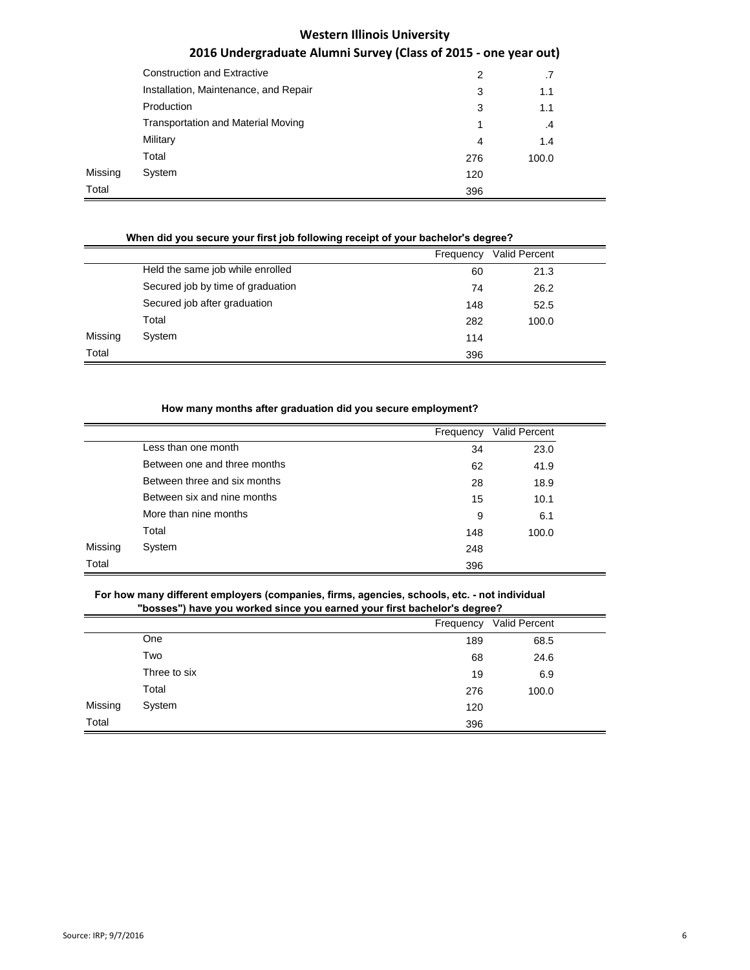# **2016 Undergraduate Alumni Survey (Class of 2015 - one year out)**

|         | <b>Construction and Extractive</b>        | 2   | .7    |
|---------|-------------------------------------------|-----|-------|
|         | Installation, Maintenance, and Repair     | 3   | 1.1   |
|         | Production                                | 3   | 1.1   |
|         | <b>Transportation and Material Moving</b> |     | .4    |
|         | Military                                  | 4   | 1.4   |
|         | Total                                     | 276 | 100.0 |
| Missing | System                                    | 120 |       |
| Total   |                                           | 396 |       |

## **When did you secure your first job following receipt of your bachelor's degree?**

|         |                                   | Frequency | <b>Valid Percent</b> |  |
|---------|-----------------------------------|-----------|----------------------|--|
|         | Held the same job while enrolled  | 60        | 21.3                 |  |
|         | Secured job by time of graduation | 74        | 26.2                 |  |
|         | Secured job after graduation      | 148       | 52.5                 |  |
|         | Total                             | 282       | 100.0                |  |
| Missing | System                            | 114       |                      |  |
| Total   |                                   | 396       |                      |  |

## **How many months after graduation did you secure employment?**

|         |                              |           | Valid Percent |
|---------|------------------------------|-----------|---------------|
|         |                              | Frequency |               |
|         | Less than one month          | 34        | 23.0          |
|         | Between one and three months | 62        | 41.9          |
|         | Between three and six months | 28        | 18.9          |
|         | Between six and nine months  | 15        | 10.1          |
|         | More than nine months        | 9         | 6.1           |
|         | Total                        | 148       | 100.0         |
| Missing | System                       | 248       |               |
| Total   |                              | 396       |               |

#### **For how many different employers (companies, firms, agencies, schools, etc. - not individual "bosses") have you worked since you earned your first bachelor's degree?**

|         |              | Frequency | Valid Percent |  |
|---------|--------------|-----------|---------------|--|
|         | One          | 189       | 68.5          |  |
|         | Two          | 68        | 24.6          |  |
|         | Three to six | 19        | 6.9           |  |
|         | Total        | 276       | 100.0         |  |
| Missing | System       | 120       |               |  |
| Total   |              | 396       |               |  |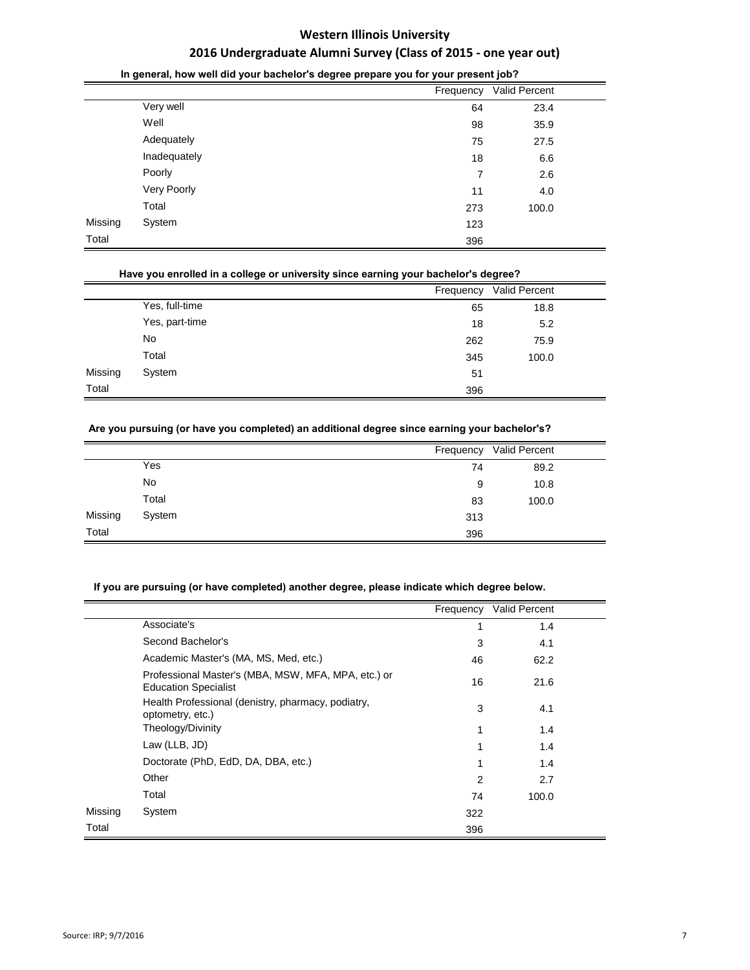|         |              | - 9 - - - - - - - - - <i>1</i> - - |               |  |
|---------|--------------|------------------------------------|---------------|--|
|         |              | Frequency                          | Valid Percent |  |
|         | Very well    | 64                                 | 23.4          |  |
|         | Well         | 98                                 | 35.9          |  |
|         | Adequately   | 75                                 | 27.5          |  |
|         | Inadequately | 18                                 | 6.6           |  |
|         | Poorly       | 7                                  | 2.6           |  |
|         | Very Poorly  | 11                                 | 4.0           |  |
|         | Total        | 273                                | 100.0         |  |
| Missing | System       | 123                                |               |  |
| Total   |              | 396                                |               |  |
|         |              |                                    |               |  |

## **In general, how well did your bachelor's degree prepare you for your present job?**

#### **Have you enrolled in a college or university since earning your bachelor's degree?**

|         |                |     | Frequency Valid Percent |  |
|---------|----------------|-----|-------------------------|--|
|         | Yes, full-time | 65  | 18.8                    |  |
|         | Yes, part-time | 18  | 5.2                     |  |
|         | No             | 262 | 75.9                    |  |
|         | Total          | 345 | 100.0                   |  |
| Missing | System         | 51  |                         |  |
| Total   |                | 396 |                         |  |

## **Are you pursuing (or have you completed) an additional degree since earning your bachelor's?**

|         |        |     | Frequency Valid Percent |  |
|---------|--------|-----|-------------------------|--|
|         | Yes    | 74  | 89.2                    |  |
|         | No     | 9   | 10.8                    |  |
|         | Total  | 83  | 100.0                   |  |
| Missing | System | 313 |                         |  |
| Total   |        | 396 |                         |  |

## **If you are pursuing (or have completed) another degree, please indicate which degree below.**

|         |                                                                                    | Frequency      | Valid Percent |  |
|---------|------------------------------------------------------------------------------------|----------------|---------------|--|
|         | Associate's                                                                        | 1              | 1.4           |  |
|         | Second Bachelor's                                                                  | 3              | 4.1           |  |
|         | Academic Master's (MA, MS, Med, etc.)                                              | 46             | 62.2          |  |
|         | Professional Master's (MBA, MSW, MFA, MPA, etc.) or<br><b>Education Specialist</b> | 16             | 21.6          |  |
|         | Health Professional (denistry, pharmacy, podiatry,<br>optometry, etc.)             | 3              | 4.1           |  |
|         | Theology/Divinity                                                                  | 1              | 1.4           |  |
|         | Law (LLB, JD)                                                                      | 1              | 1.4           |  |
|         | Doctorate (PhD, EdD, DA, DBA, etc.)                                                | 1              | 1.4           |  |
|         | Other                                                                              | $\overline{2}$ | 2.7           |  |
|         | Total                                                                              | 74             | 100.0         |  |
| Missing | System                                                                             | 322            |               |  |
| Total   |                                                                                    | 396            |               |  |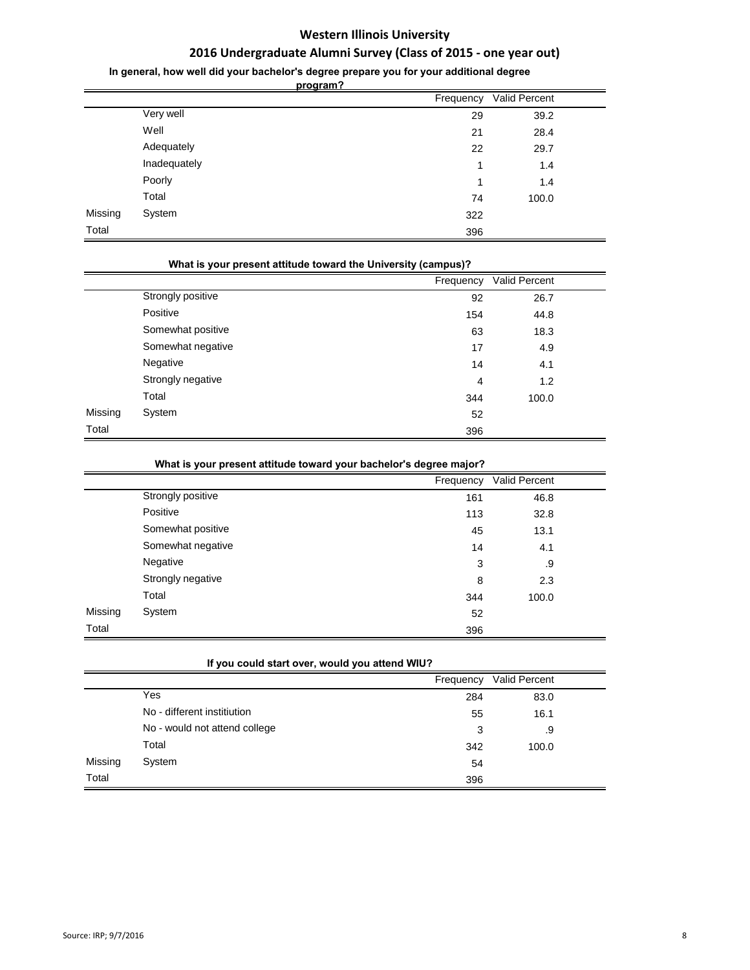# **2016 Undergraduate Alumni Survey (Class of 2015 - one year out)**

**In general, how well did your bachelor's degree prepare you for your additional degree** 

**program?**

|         |              |     | Frequency Valid Percent |
|---------|--------------|-----|-------------------------|
|         | Very well    | 29  | 39.2                    |
|         | Well         | 21  | 28.4                    |
|         | Adequately   | 22  | 29.7                    |
|         | Inadequately | 1   | 1.4                     |
|         | Poorly       | 1   | 1.4                     |
|         | Total        | 74  | 100.0                   |
| Missing | System       | 322 |                         |
| Total   |              | 396 |                         |

|         | What is your present attitude toward the University (campus)? |           |               |  |
|---------|---------------------------------------------------------------|-----------|---------------|--|
|         |                                                               | Frequency | Valid Percent |  |
|         | Strongly positive                                             | 92        | 26.7          |  |
|         | Positive                                                      | 154       | 44.8          |  |
|         | Somewhat positive                                             | 63        | 18.3          |  |
|         | Somewhat negative                                             | 17        | 4.9           |  |
|         | Negative                                                      | 14        | 4.1           |  |
|         | Strongly negative                                             | 4         | 1.2           |  |
|         | Total                                                         | 344       | 100.0         |  |
| Missing | System                                                        | 52        |               |  |
| Total   |                                                               | 396       |               |  |

| What is your present attitude toward your bachelor's degree major? |  |  |
|--------------------------------------------------------------------|--|--|
|                                                                    |  |  |

|         |                   | Frequency | <b>Valid Percent</b> |  |
|---------|-------------------|-----------|----------------------|--|
|         | Strongly positive | 161       | 46.8                 |  |
|         | Positive          | 113       | 32.8                 |  |
|         | Somewhat positive | 45        | 13.1                 |  |
|         | Somewhat negative | 14        | 4.1                  |  |
|         | Negative          | 3         | .9                   |  |
|         | Strongly negative | 8         | 2.3                  |  |
|         | Total             | 344       | 100.0                |  |
| Missing | System            | 52        |                      |  |
| Total   |                   | 396       |                      |  |

|  |  | If you could start over, would you attend WIU? |
|--|--|------------------------------------------------|
|--|--|------------------------------------------------|

|         |                               | Frequency | Valid Percent |  |
|---------|-------------------------------|-----------|---------------|--|
|         | Yes                           | 284       | 83.0          |  |
|         | No - different institiution   | 55        | 16.1          |  |
|         | No - would not attend college | 3         | .9            |  |
|         | Total                         | 342       | 100.0         |  |
| Missing | System                        | 54        |               |  |
| Total   |                               | 396       |               |  |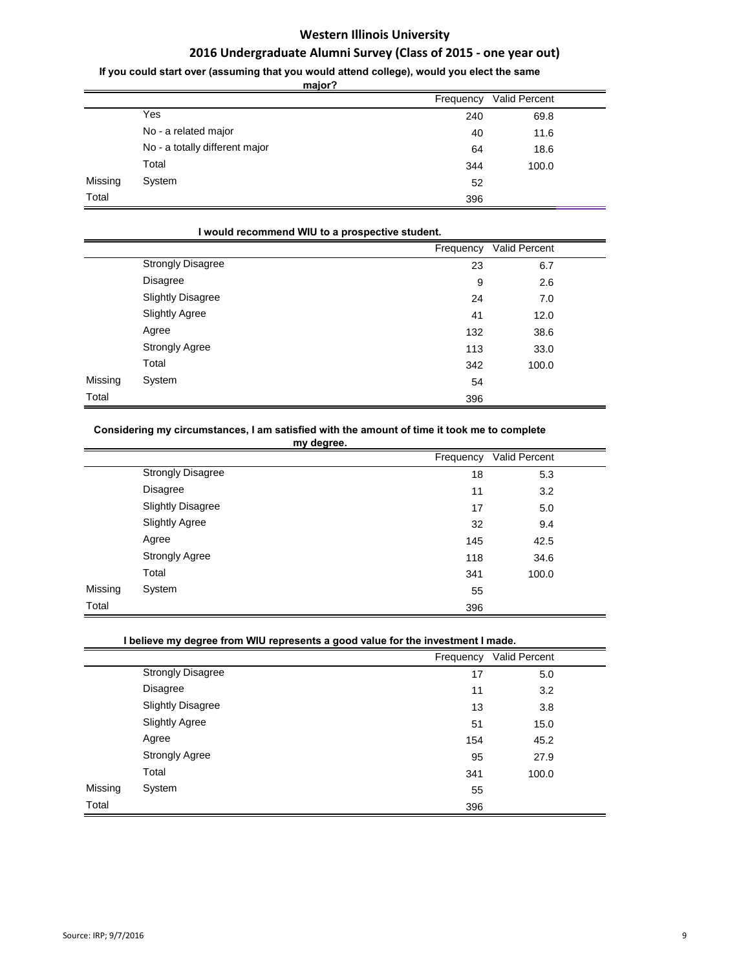# **2016 Undergraduate Alumni Survey (Class of 2015 - one year out)**

**If you could start over (assuming that you would attend college), would you elect the same** 

**major?**

|         | major?                         |           |               |  |
|---------|--------------------------------|-----------|---------------|--|
|         |                                | Frequency | Valid Percent |  |
|         | Yes                            | 240       | 69.8          |  |
|         | No - a related major           | 40        | 11.6          |  |
|         | No - a totally different major | 64        | 18.6          |  |
|         | Total                          | 344       | 100.0         |  |
| Missing | System                         | 52        |               |  |
| Total   |                                | 396       |               |  |

|         | I would recommend WIU to a prospective student. |           |               |  |
|---------|-------------------------------------------------|-----------|---------------|--|
|         |                                                 | Frequency | Valid Percent |  |
|         | <b>Strongly Disagree</b>                        | 23        | 6.7           |  |
|         | <b>Disagree</b>                                 | 9         | 2.6           |  |
|         | <b>Slightly Disagree</b>                        | 24        | 7.0           |  |
|         | <b>Slightly Agree</b>                           | 41        | 12.0          |  |
|         | Agree                                           | 132       | 38.6          |  |
|         | <b>Strongly Agree</b>                           | 113       | 33.0          |  |
|         | Total                                           | 342       | 100.0         |  |
| Missing | System                                          | 54        |               |  |
| Total   |                                                 | 396       |               |  |
|         |                                                 |           |               |  |

#### **Considering my circumstances, I am satisfied with the amount of time it took me to complete**

|         | my degree.               |           |               |
|---------|--------------------------|-----------|---------------|
|         |                          | Frequency | Valid Percent |
|         | <b>Strongly Disagree</b> | 18        | 5.3           |
|         | Disagree                 | 11        | 3.2           |
|         | <b>Slightly Disagree</b> | 17        | 5.0           |
|         | <b>Slightly Agree</b>    | 32        | 9.4           |
|         | Agree                    | 145       | 42.5          |
|         | <b>Strongly Agree</b>    | 118       | 34.6          |
|         | Total                    | 341       | 100.0         |
| Missing | System                   | 55        |               |
| Total   |                          | 396       |               |

## **I believe my degree from WIU represents a good value for the investment I made.**

|         |                          | Frequency | Valid Percent |  |
|---------|--------------------------|-----------|---------------|--|
|         | <b>Strongly Disagree</b> | 17        | 5.0           |  |
|         | <b>Disagree</b>          | 11        | 3.2           |  |
|         | <b>Slightly Disagree</b> | 13        | 3.8           |  |
|         | <b>Slightly Agree</b>    | 51        | 15.0          |  |
|         | Agree                    | 154       | 45.2          |  |
|         | <b>Strongly Agree</b>    | 95        | 27.9          |  |
|         | Total                    | 341       | 100.0         |  |
| Missing | System                   | 55        |               |  |
| Total   |                          | 396       |               |  |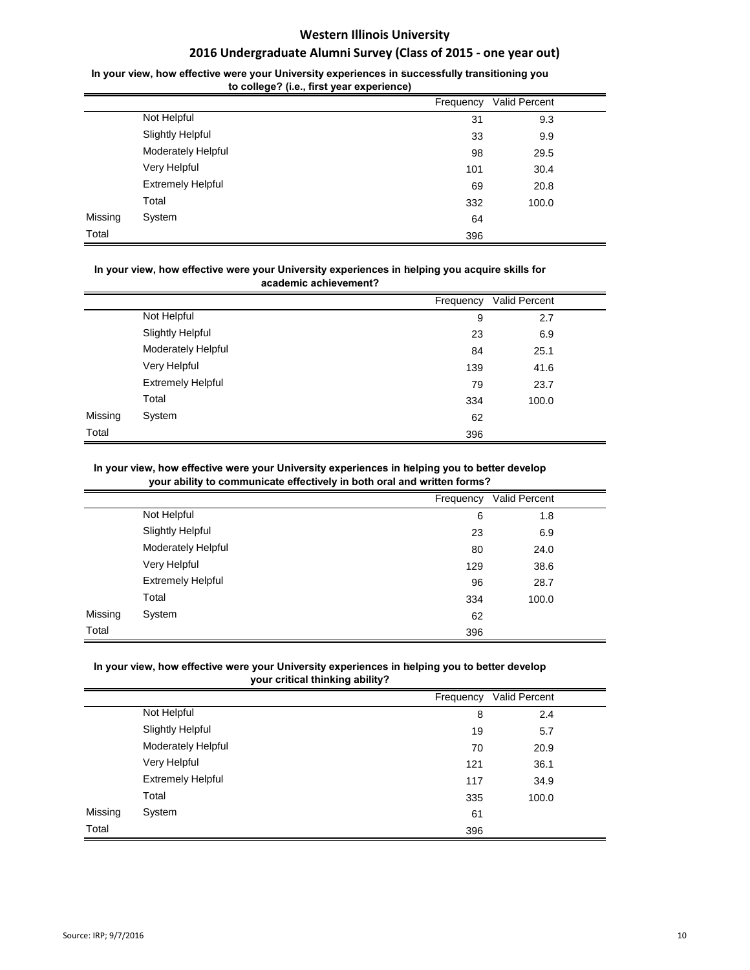## **2016 Undergraduate Alumni Survey (Class of 2015 - one year out)**

## In your view, how effective were your University experiences in successfully transitioning you **to college? (i.e., first year experience)**

|         | to conego: (i.e., mot year experience) |           |               |  |
|---------|----------------------------------------|-----------|---------------|--|
|         |                                        | Frequency | Valid Percent |  |
|         | Not Helpful                            | 31        | 9.3           |  |
|         | <b>Slightly Helpful</b>                | 33        | 9.9           |  |
|         | Moderately Helpful                     | 98        | 29.5          |  |
|         | Very Helpful                           | 101       | 30.4          |  |
|         | <b>Extremely Helpful</b>               | 69        | 20.8          |  |
|         | Total                                  | 332       | 100.0         |  |
| Missing | System                                 | 64        |               |  |
| Total   |                                        | 396       |               |  |

#### In your view, how effective were your University experiences in helping you acquire skills for **academic achievement?**

|         |                          | Frequency | Valid Percent |  |
|---------|--------------------------|-----------|---------------|--|
|         | Not Helpful              | 9         | 2.7           |  |
|         | <b>Slightly Helpful</b>  | 23        | 6.9           |  |
|         | Moderately Helpful       | 84        | 25.1          |  |
|         | Very Helpful             | 139       | 41.6          |  |
|         | <b>Extremely Helpful</b> | 79        | 23.7          |  |
|         | Total                    | 334       | 100.0         |  |
| Missing | System                   | 62        |               |  |
| Total   |                          | 396       |               |  |

#### In your view, how effective were your University experiences in helping you to better develop **your ability to communicate effectively in both oral and written forms?**

|         |                          | Frequency | Valid Percent |  |
|---------|--------------------------|-----------|---------------|--|
|         | Not Helpful              | 6         | 1.8           |  |
|         | <b>Slightly Helpful</b>  | 23        | 6.9           |  |
|         | Moderately Helpful       | 80        | 24.0          |  |
|         | Very Helpful             | 129       | 38.6          |  |
|         | <b>Extremely Helpful</b> | 96        | 28.7          |  |
|         | Total                    | 334       | 100.0         |  |
| Missing | System                   | 62        |               |  |
| Total   |                          | 396       |               |  |

## In your view, how effective were your University experiences in helping you to better develop **your critical thinking ability?**

|         |                          | Frequency | Valid Percent |  |
|---------|--------------------------|-----------|---------------|--|
|         | Not Helpful              | 8         | 2.4           |  |
|         | <b>Slightly Helpful</b>  | 19        | 5.7           |  |
|         | Moderately Helpful       | 70        | 20.9          |  |
|         | Very Helpful             | 121       | 36.1          |  |
|         | <b>Extremely Helpful</b> | 117       | 34.9          |  |
|         | Total                    | 335       | 100.0         |  |
| Missing | System                   | 61        |               |  |
| Total   |                          | 396       |               |  |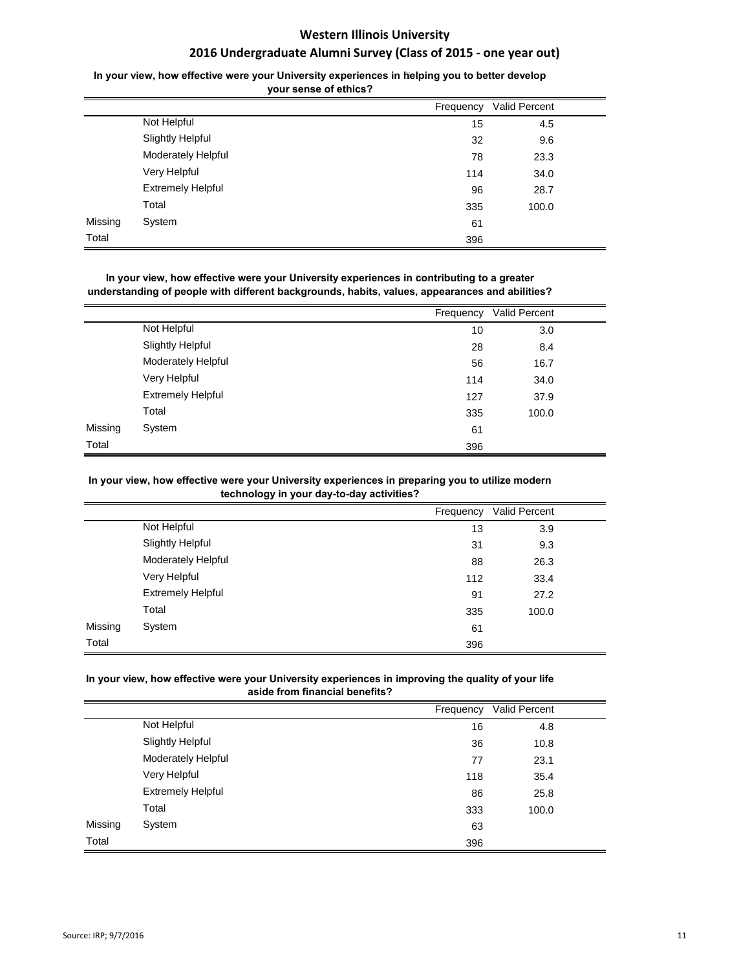## In your view, how effective were your University experiences in helping you to better develop **your sense of ethics?**

|         |                          | Frequency | Valid Percent |  |
|---------|--------------------------|-----------|---------------|--|
|         | Not Helpful              | 15        | 4.5           |  |
|         | <b>Slightly Helpful</b>  | 32        | 9.6           |  |
|         | Moderately Helpful       | 78        | 23.3          |  |
|         | Very Helpful             | 114       | 34.0          |  |
|         | <b>Extremely Helpful</b> | 96        | 28.7          |  |
|         | Total                    | 335       | 100.0         |  |
| Missing | System                   | 61        |               |  |
| Total   |                          | 396       |               |  |

In your view, how effective were your University experiences in contributing to a greater **understanding of people with different backgrounds, habits, values, appearances and abilities?**

|         |                          | Frequency | Valid Percent |  |
|---------|--------------------------|-----------|---------------|--|
|         | Not Helpful              | 10        | 3.0           |  |
|         | <b>Slightly Helpful</b>  | 28        | 8.4           |  |
|         | Moderately Helpful       | 56        | 16.7          |  |
|         | Very Helpful             | 114       | 34.0          |  |
|         | <b>Extremely Helpful</b> | 127       | 37.9          |  |
|         | Total                    | 335       | 100.0         |  |
| Missing | System                   | 61        |               |  |
| Total   |                          | 396       |               |  |

#### In your view, how effective were your University experiences in preparing you to utilize modern **technology in your day-to-day activities?**

|         |                          | Frequency | Valid Percent |  |
|---------|--------------------------|-----------|---------------|--|
|         | Not Helpful              | 13        | 3.9           |  |
|         | <b>Slightly Helpful</b>  | 31        | 9.3           |  |
|         | Moderately Helpful       | 88        | 26.3          |  |
|         | Very Helpful             | 112       | 33.4          |  |
|         | <b>Extremely Helpful</b> | 91        | 27.2          |  |
|         | Total                    | 335       | 100.0         |  |
| Missing | System                   | 61        |               |  |
| Total   |                          | 396       |               |  |

## In your view, how effective were your University experiences in improving the quality of your life **aside from financial benefits?**

|         |                          | Frequency | Valid Percent |  |
|---------|--------------------------|-----------|---------------|--|
|         | Not Helpful              | 16        | 4.8           |  |
|         | <b>Slightly Helpful</b>  | 36        | 10.8          |  |
|         | Moderately Helpful       | 77        | 23.1          |  |
|         | Very Helpful             | 118       | 35.4          |  |
|         | <b>Extremely Helpful</b> | 86        | 25.8          |  |
|         | Total                    | 333       | 100.0         |  |
| Missing | System                   | 63        |               |  |
| Total   |                          | 396       |               |  |